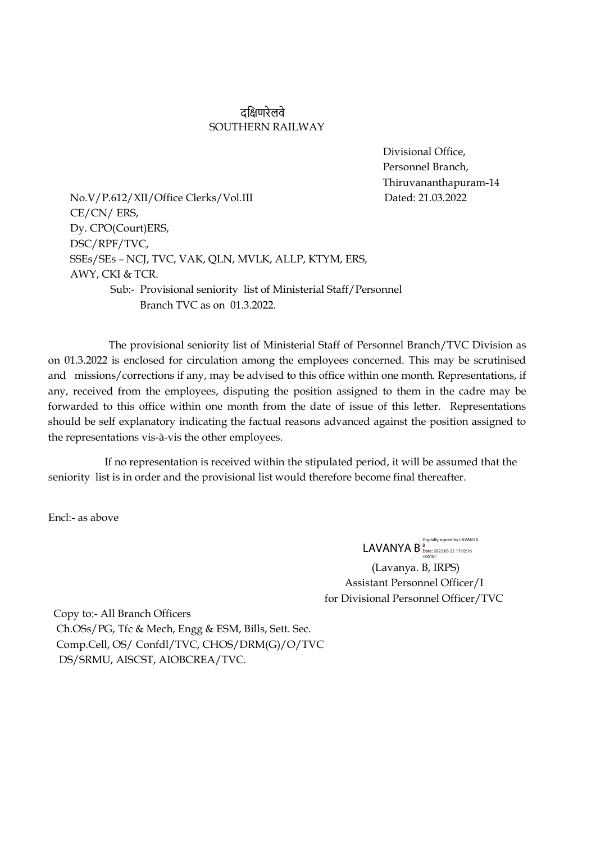## दक्षिणरेलवे SOUTHERN RAILWAY

 Divisional Office, Personnel Branch, Thiruvananthapuram-14

No.V/P.612/XII/Office Clerks/Vol.III Dated: 21.03.2022 CE/CN/ ERS, Dy. CPO(Court)ERS, DSC/RPF/TVC, SSEs/SEs – NCJ, TVC, VAK, QLN, MVLK, ALLP, KTYM, ERS, AWY, CKI & TCR. Sub:- Provisional seniority list of Ministerial Staff/Personnel Branch TVC as on 01.3.2022.

 The provisional seniority list of Ministerial Staff of Personnel Branch/TVC Division as on 01.3.2022 is enclosed for circulation among the employees concerned. This may be scrutinised and missions/corrections if any, may be advised to this office within one month. Representations, if any, received from the employees, disputing the position assigned to them in the cadre may be forwarded to this office within one month from the date of issue of this letter. Representations should be self explanatory indicating the factual reasons advanced against the position assigned to the representations vis-à-vis the other employees.

 If no representation is received within the stipulated period, it will be assumed that the seniority list is in order and the provisional list would therefore become final thereafter.

Encl:- as above

 (Lavanya. B, IRPS) LAVANYA  $B_{\frac{10}{100}}^{\text{Digitally signed by LAVANYA}}$ 

 Assistant Personnel Officer/I for Divisional Personnel Officer/TVC

 Copy to:- All Branch Officers Ch.OSs/PG, Tfc & Mech, Engg & ESM, Bills, Sett. Sec. Comp.Cell, OS/ Confdl/TVC, CHOS/DRM(G)/O/TVC DS/SRMU, AISCST, AIOBCREA/TVC.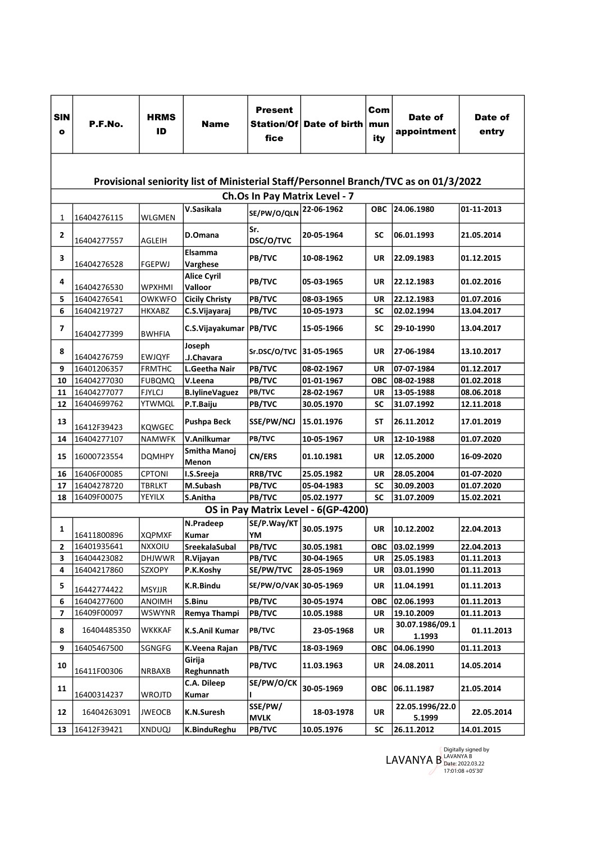| <b>SIN</b><br>$\bullet$ | P.F.No.                                                                              | <b>HRMS</b><br>ID | Name                          | <b>Present</b><br>Station/Of<br>fice | Date of birth                       | Com<br>mun<br>ity | Date of<br>appointment    | Date of<br>entry |  |  |
|-------------------------|--------------------------------------------------------------------------------------|-------------------|-------------------------------|--------------------------------------|-------------------------------------|-------------------|---------------------------|------------------|--|--|
|                         | Provisional seniority list of Ministerial Staff/Personnel Branch/TVC as on 01/3/2022 |                   |                               |                                      |                                     |                   |                           |                  |  |  |
|                         | Ch.Os In Pay Matrix Level - 7                                                        |                   |                               |                                      |                                     |                   |                           |                  |  |  |
| 1                       | 16404276115                                                                          | <b>WLGMEN</b>     | V.Sasikala                    | SE/PW/O/QLN                          | 22-06-1962                          | <b>OBC</b>        | 24.06.1980                | 01-11-2013       |  |  |
| $\overline{2}$          | 16404277557                                                                          | AGLEIH            | D.Omana                       | Sr.<br>DSC/O/TVC                     | 20-05-1964                          | SC                | 06.01.1993                | 21.05.2014       |  |  |
| 3                       | 16404276528                                                                          | <b>FGEPWJ</b>     | Elsamma<br>Varghese           | PB/TVC                               | 10-08-1962                          | UR                | 22.09.1983                | 01.12.2015       |  |  |
| 4                       | 16404276530                                                                          | <b>WPXHMI</b>     | <b>Alice Cyril</b><br>Valloor | PB/TVC                               | 05-03-1965                          | UR                | 22.12.1983                | 01.02.2016       |  |  |
| 5                       | 16404276541                                                                          | <b>OWKWFO</b>     | <b>Cicily Christy</b>         | PB/TVC                               | 08-03-1965                          | UR                | 22.12.1983                | 01.07.2016       |  |  |
| 6                       | 16404219727                                                                          | <b>HKXABZ</b>     | C.S.Vijayaraj                 | PB/TVC                               | 10-05-1973                          | SC                | 02.02.1994                | 13.04.2017       |  |  |
| $\overline{\mathbf{z}}$ | 16404277399                                                                          | <b>BWHFIA</b>     | C.S.Vijayakumar   PB/TVC      |                                      | 15-05-1966                          | SC                | 29-10-1990                | 13.04.2017       |  |  |
| 8                       | 16404276759                                                                          | <b>EWJQYF</b>     | Joseph<br>.J.Chavara          | Sr.DSC/O/TVC 31-05-1965              |                                     | UR                | 27-06-1984                | 13.10.2017       |  |  |
| 9                       | 16401206357                                                                          | <b>FRMTHC</b>     | L.Geetha Nair                 | PB/TVC                               | 08-02-1967                          | <b>UR</b>         | 07-07-1984                | 01.12.2017       |  |  |
| 10                      | 16404277030                                                                          | <b>FUBQMQ</b>     | V.Leena                       | PB/TVC                               | 01-01-1967                          | <b>OBC</b>        | 08-02-1988                | 01.02.2018       |  |  |
| 11                      | 16404277077                                                                          | <b>FJYLCJ</b>     | <b>B.lylineVaguez</b>         | PB/TVC                               | 28-02-1967                          | UR                | 13-05-1988                | 08.06.2018       |  |  |
| 12                      | 16404699762                                                                          | <b>YTWMQL</b>     | P.T.Baiju                     | PB/TVC                               | 30.05.1970                          | SC                | 31.07.1992                | 12.11.2018       |  |  |
| 13                      | 16412F39423                                                                          | <b>KQWGEC</b>     | <b>Pushpa Beck</b>            | <b>SSE/PW/NCJ</b>                    | 15.01.1976                          | <b>ST</b>         | 26.11.2012                | 17.01.2019       |  |  |
| 14                      | 16404277107                                                                          | <b>NAMWFK</b>     | V.Anilkumar                   | PB/TVC                               | 10-05-1967                          | UR                | 12-10-1988                | 01.07.2020       |  |  |
| 15                      | 16000723554                                                                          | <b>DQMHPY</b>     | Smitha Manoj<br>Menon         | <b>CN/ERS</b>                        | 01.10.1981                          | UR                | 12.05.2000                | 16-09-2020       |  |  |
| 16                      | 16406F00085                                                                          | <b>CPTONI</b>     | I.S.Sreeja                    | <b>RRB/TVC</b>                       | 25.05.1982                          | UR                | 28.05.2004                | 01-07-2020       |  |  |
| 17                      | 16404278720                                                                          | <b>TBRLKT</b>     | M.Subash                      | PB/TVC                               | 05-04-1983                          | <b>SC</b>         | 30.09.2003                | 01.07.2020       |  |  |
| 18                      | 16409F00075                                                                          | YEYILX            | S.Anitha                      | PB/TVC                               | 05.02.1977                          | SC                | 31.07.2009                | 15.02.2021       |  |  |
|                         |                                                                                      |                   |                               |                                      | OS in Pay Matrix Level - 6(GP-4200) |                   |                           |                  |  |  |
| 1                       |                                                                                      |                   | N.Pradeep                     | SE/P.Way/KT                          | 30.05.1975                          | <b>UR</b>         | 10.12.2002                | 22.04.2013       |  |  |
|                         | 16411800896                                                                          | <b>XQPMXF</b>     | <b>Kumar</b>                  | YM                                   |                                     |                   |                           |                  |  |  |
| 2                       | 16401935641                                                                          | NXXOIU            | SreekalaSubal                 | PB/TVC                               | 30.05.1981                          | ОВС               | 03.02.1999                | 22.04.2013       |  |  |
| 3                       | 16404423082                                                                          | <b>DHJWWR</b>     | R.Vijayan                     | PB/TVC                               | 30-04-1965                          | UR                | 25.05.1983                | 01.11.2013       |  |  |
| 4                       | 16404217860                                                                          | SZXOPY            | P.K.Koshy                     | SE/PW/TVC                            | 28-05-1969                          | UR                | 03.01.1990                | 01.11.2013       |  |  |
| 5                       | 16442774422                                                                          | <b>MSYJJR</b>     | K.R.Bindu                     | SE/PW/O/VAK 30-05-1969               |                                     | UR                | 11.04.1991                | 01.11.2013       |  |  |
| 6                       | 16404277600                                                                          | <b>ANOIMH</b>     | S.Binu                        | <b>PB/TVC</b>                        | 30-05-1974                          | <b>OBC</b>        | 02.06.1993                | 01.11.2013       |  |  |
| 7                       | 16409F00097                                                                          | <b>WSWYNR</b>     | Remya Thampi                  | <b>PB/TVC</b>                        | 10.05.1988                          | UR                | 19.10.2009                | 01.11.2013       |  |  |
| 8                       | 16404485350                                                                          | <b>WKKKAF</b>     | <b>K.S.Anil Kumar</b>         | PB/TVC                               | 23-05-1968                          | UR                | 30.07.1986/09.1<br>1.1993 | 01.11.2013       |  |  |
| 9                       | 16405467500                                                                          | SGNGFG            | K.Veena Rajan                 | PB/TVC                               | 18-03-1969                          | ОВС               | 04.06.1990                | 01.11.2013       |  |  |
| 10                      | 16411F00306                                                                          | <b>NRBAXB</b>     | Girija<br>Reghunnath          | PB/TVC                               | 11.03.1963                          | UR                | 24.08.2011                | 14.05.2014       |  |  |
| 11                      | 16400314237                                                                          | <b>WROJTD</b>     | C.A. Dileep<br>Kumar          | SE/PW/O/CK                           | 30-05-1969                          | ОВС               | 06.11.1987                | 21.05.2014       |  |  |
| 12                      | 16404263091                                                                          | JWEOCB            | K.N.Suresh                    | SSE/PW/<br><b>MVLK</b>               | 18-03-1978                          | UR                | 22.05.1996/22.0<br>5.1999 | 22.05.2014       |  |  |
| 13                      | 16412F39421                                                                          | XNDUQJ            | K.BinduReghu                  | <b>PB/TVC</b>                        | 10.05.1976                          | SC                | 26.11.2012                | 14.01.2015       |  |  |

Digitally signed by<br>
LAVANYA B<br>
Date: 2022.03.22<br>
17:01:08 +05'30'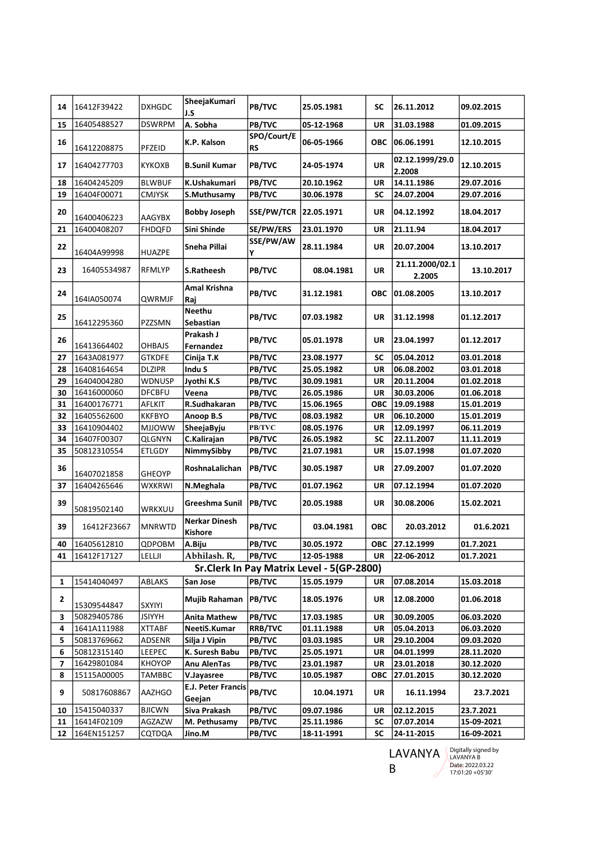| 14                                        | 16412F39422 | <b>DXHGDC</b> | SheejaKumari<br>J.S                 | PB/TVC                   | 25.05.1981 | SC         | 26.11.2012                | 09.02.2015 |
|-------------------------------------------|-------------|---------------|-------------------------------------|--------------------------|------------|------------|---------------------------|------------|
| 15                                        | 16405488527 | <b>DSWRPM</b> | A. Sobha                            | PB/TVC                   | 05-12-1968 | UR         | 31.03.1988                | 01.09.2015 |
| 16                                        | 16412208875 | PFZEID        | K.P. Kalson                         | SPO/Court/E<br><b>RS</b> | 06-05-1966 | <b>OBC</b> | 06.06.1991                | 12.10.2015 |
| 17                                        | 16404277703 | <b>KYKOXB</b> | <b>B.Sunil Kumar</b>                | PB/TVC                   | 24-05-1974 | <b>UR</b>  | 02.12.1999/29.0<br>2.2008 | 12.10.2015 |
| 18                                        | 16404245209 | <b>BLWBUF</b> | K.Ushakumari                        | PB/TVC                   | 20.10.1962 | UR         | 14.11.1986                | 29.07.2016 |
| 19                                        | 16404F00071 | <b>CMJYSK</b> | S.Muthusamy                         | PB/TVC                   | 30.06.1978 | SC         | 24.07.2004                | 29.07.2016 |
| 20                                        | 16400406223 | <b>AAGYBX</b> | <b>Bobby Joseph</b>                 | <b>SSE/PW/TCR</b>        | 22.05.1971 | UR         | 04.12.1992                | 18.04.2017 |
| 21                                        | 16400408207 | <b>FHDQFD</b> | Sini Shinde                         | SE/PW/ERS                | 23.01.1970 | UR         | 21.11.94                  | 18.04.2017 |
| 22                                        | 16404A99998 | <b>HUAZPE</b> | Sneha Pillai                        | SSE/PW/AW<br>Υ           | 28.11.1984 | UR         | 20.07.2004                | 13.10.2017 |
| 23                                        | 16405534987 | <b>RFMLYP</b> | S.Ratheesh                          | PB/TVC                   | 08.04.1981 | <b>UR</b>  | 21.11.2000/02.1<br>2.2005 | 13.10.2017 |
| 24                                        | 164IA050074 | QWRMJF        | Amal Krishna<br>Raj                 | PB/TVC                   | 31.12.1981 | ОВС        | 01.08.2005                | 13.10.2017 |
| 25                                        | 16412295360 | PZZSMN        | <b>Neethu</b><br>Sebastian          | PB/TVC                   | 07.03.1982 | UR         | 31.12.1998                | 01.12.2017 |
| 26                                        | 16413664402 | <b>OHBAJS</b> | Prakash J<br>Fernandez              | PB/TVC                   | 05.01.1978 | UR         | 23.04.1997                | 01.12.2017 |
| 27                                        | 1643A081977 | <b>GTKDFE</b> | Cinija T.K                          | PB/TVC                   | 23.08.1977 | <b>SC</b>  | 05.04.2012                | 03.01.2018 |
| 28                                        | 16408164654 | <b>DLZIPR</b> | Indu S                              | PB/TVC                   | 25.05.1982 | UR         | 06.08.2002                | 03.01.2018 |
| 29                                        | 16404004280 | <b>WDNUSP</b> | Jyothi K.S                          | PB/TVC                   | 30.09.1981 | UR         | 20.11.2004                | 01.02.2018 |
| 30                                        | 16416000060 | <b>DFCBFU</b> | Veena                               | PB/TVC                   | 26.05.1986 | <b>UR</b>  | 30.03.2006                | 01.06.2018 |
| 31                                        | 16400176771 | AFLKIT        | R.Sudhakaran                        | PB/TVC                   | 15.06.1965 | ОВС        | 19.09.1988                | 15.01.2019 |
| 32                                        | 16405562600 | <b>KKFBYO</b> | Anoop B.S                           | PB/TVC                   | 08.03.1982 | UR         | 06.10.2000                | 15.01.2019 |
| 33                                        | 16410904402 | <b>MJJOWW</b> | SheejaByju                          | PB/TVC                   | 08.05.1976 | UR         | 12.09.1997                | 06.11.2019 |
| 34                                        | 16407F00307 | <b>QLGNYN</b> | C.Kalirajan                         | PB/TVC                   | 26.05.1982 | <b>SC</b>  | 22.11.2007                | 11.11.2019 |
| 35                                        | 50812310554 | <b>ETLGDY</b> | NimmySibby                          | PB/TVC                   | 21.07.1981 | UR         | 15.07.1998                | 01.07.2020 |
| 36                                        | 16407021858 | <b>GHEOYP</b> | RoshnaLalichan                      | PB/TVC                   | 30.05.1987 | UR         | 27.09.2007                | 01.07.2020 |
| 37                                        | 16404265646 | <b>WXKRWI</b> | N.Meghala                           | PB/TVC                   | 01.07.1962 | UR         | 07.12.1994                | 01.07.2020 |
| 39                                        | 50819502140 | WRKXUU        | Greeshma Sunil                      | <b>PB/TVC</b>            | 20.05.1988 | UR         | 30.08.2006                | 15.02.2021 |
| 39                                        | 16412F23667 | <b>MNRWTD</b> | Nerkar Dinesh<br>Kishore            | PB/TVC                   | 03.04.1981 | ОВС        | 20.03.2012                | 01.6.2021  |
| 40                                        | 16405612810 | QDPOBM        | A.Biju                              | <b>PB/TVC</b>            | 30.05.1972 |            | OBC 27.12.1999            | 01.7.2021  |
| 41                                        | 16412F17127 | LELLJI        | Abhilash. R,                        | PB/TVC                   | 12-05-1988 | UR         | 22-06-2012                | 01.7.2021  |
| Sr.Clerk In Pay Matrix Level - 5(GP-2800) |             |               |                                     |                          |            |            |                           |            |
| 1                                         | 15414040497 | ABLAKS        | San Jose                            | PB/TVC                   | 15.05.1979 | UR         | 07.08.2014                | 15.03.2018 |
| 2                                         | 15309544847 | <b>SXYIYI</b> | <b>Mujib Rahaman</b>                | <b>PB/TVC</b>            | 18.05.1976 | UR         | 12.08.2000                | 01.06.2018 |
| з                                         | 50829405786 | JSIYYH        | Anita Mathew                        | PB/TVC                   | 17.03.1985 | UR         | 30.09.2005                | 06.03.2020 |
| 4                                         | 1641A111988 | <b>XTTABF</b> | NeetiS.Kumar                        | <b>RRB/TVC</b>           | 01.11.1988 | UR         | 05.04.2013                | 06.03.2020 |
| 5                                         | 50813769662 | ADSENR        | Silja J Vipin                       | <b>PB/TVC</b>            | 03.03.1985 | UR         | 29.10.2004                | 09.03.2020 |
| 6                                         | 50812315140 | LEEPEC        | K. Suresh Babu                      | PB/TVC                   | 25.05.1971 | UR         | 04.01.1999                | 28.11.2020 |
| 7                                         | 16429801084 | <b>KHOYOP</b> | Anu AlenTas                         | <b>PB/TVC</b>            | 23.01.1987 | UR         | 23.01.2018                | 30.12.2020 |
| 8                                         | 15115A00005 | TAMBBC        | V.Jayasree                          | <b>PB/TVC</b>            | 10.05.1987 | ОВС        | 27.01.2015                | 30.12.2020 |
| 9                                         | 50817608867 | AAZHGO        | <b>E.J. Peter Francis</b><br>Geejan | PB/TVC                   | 10.04.1971 | UR         | 16.11.1994                | 23.7.2021  |
| 10                                        | 15415040337 | <b>BJICWN</b> | Siva Prakash                        | PB/TVC                   | 09.07.1986 | UR         | 02.12.2015                | 23.7.2021  |
| 11                                        | 16414F02109 | AGZAZW        | M. Pethusamy                        | PB/TVC                   | 25.11.1986 | SC         | 07.07.2014                | 15-09-2021 |
| 12                                        | 164EN151257 | CQTDQA        | Jino.M                              | PB/TVC                   | 18-11-1991 | SC         | 24-11-2015                | 16-09-2021 |

LAVANYA B

Digitally signed by LAVANYA B Date: 2022.03.22 17:01:20 +05'30'